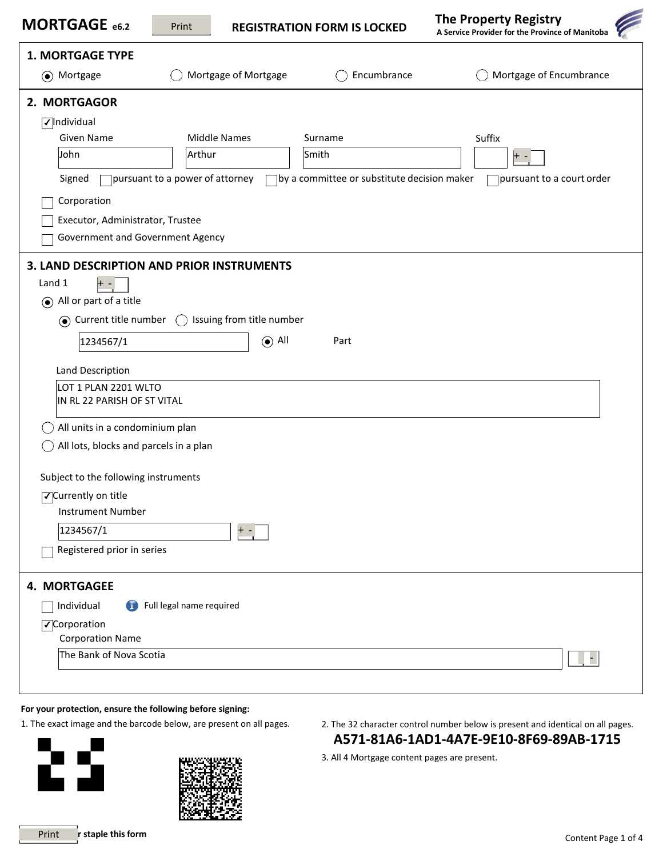| MORTGAGE e6.2                          | Print                                                                    | <b>REGISTRATION FORM IS LOCKED</b>           | <b>The Property Registry</b><br>A Service Provider for the Province of Manitoba |
|----------------------------------------|--------------------------------------------------------------------------|----------------------------------------------|---------------------------------------------------------------------------------|
| <b>1. MORTGAGE TYPE</b>                |                                                                          |                                              |                                                                                 |
| (a) Mortgage                           | Mortgage of Mortgage                                                     | Encumbrance                                  | Mortgage of Encumbrance                                                         |
| 2. MORTGAGOR                           |                                                                          |                                              |                                                                                 |
| $\sqrt{}$ Individual                   |                                                                          |                                              |                                                                                 |
| Given Name                             | <b>Middle Names</b>                                                      | Surname                                      | Suffix                                                                          |
| John                                   | Arthur                                                                   | Smith                                        | + -                                                                             |
| Signed                                 | $\Box$ pursuant to a power of attorney                                   | 7by a committee or substitute decision maker | pursuant to a court order                                                       |
| Corporation                            |                                                                          |                                              |                                                                                 |
| Executor, Administrator, Trustee       |                                                                          |                                              |                                                                                 |
| Government and Government Agency       |                                                                          |                                              |                                                                                 |
|                                        | 3. LAND DESCRIPTION AND PRIOR INSTRUMENTS                                |                                              |                                                                                 |
| Land 1                                 |                                                                          |                                              |                                                                                 |
| $\odot$ All or part of a title         |                                                                          |                                              |                                                                                 |
| ⊙ Current title number                 | Issuing from title number<br>$\left(\begin{array}{c} \end{array}\right)$ |                                              |                                                                                 |
| 1234567/1                              | $\odot$ All                                                              | Part                                         |                                                                                 |
| Land Description                       |                                                                          |                                              |                                                                                 |
| LOT 1 PLAN 2201 WLTO                   |                                                                          |                                              |                                                                                 |
| IN RL 22 PARISH OF ST VITAL            |                                                                          |                                              |                                                                                 |
| All units in a condominium plan        |                                                                          |                                              |                                                                                 |
| All lots, blocks and parcels in a plan |                                                                          |                                              |                                                                                 |
| Subject to the following instruments   |                                                                          |                                              |                                                                                 |
| ○Currently on title                    |                                                                          |                                              |                                                                                 |
| <b>Instrument Number</b>               |                                                                          |                                              |                                                                                 |
| 1234567/1                              |                                                                          |                                              |                                                                                 |
| Registered prior in series             |                                                                          |                                              |                                                                                 |
| 4. MORTGAGEE                           |                                                                          |                                              |                                                                                 |
| $\left( 1\right)$<br>Individual        | Full legal name required                                                 |                                              |                                                                                 |
| √Corporation                           |                                                                          |                                              |                                                                                 |
| <b>Corporation Name</b>                |                                                                          |                                              |                                                                                 |
| The Bank of Nova Scotia                |                                                                          |                                              |                                                                                 |
|                                        |                                                                          |                                              |                                                                                 |



- 1. The exact image and the barcode below, are present on all pages. 2. The 32 character control number below is present and identical on all pages. **A571-81A6-1AD1-4A7E-9E10-8F69-89AB-1715**
	- 3. All 4 Mortgage content pages are present.

62

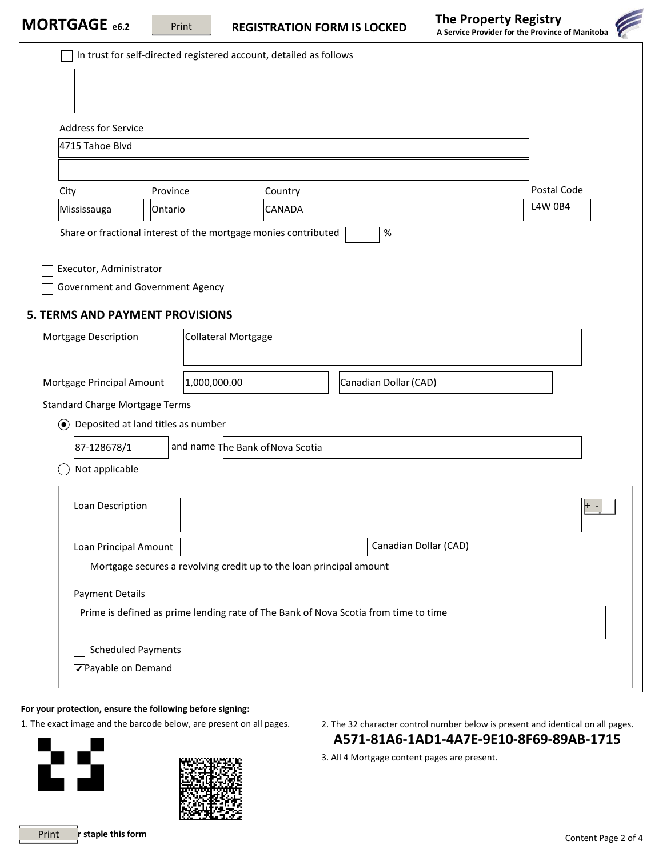In trust for self-directed registered account, detailed as follows

**THE SERVICE OF A SERVICE 2 SERVICE 2 SERVICE OF PRINCIPLE A SERVICE OF MANITOS EXAMPLE THE PRINCIPLE FOR THE PRINCIPLE OF MANITOS CONTRATION FORM IS LOCKED** 

| <b>The Property Registry</b><br>A Service Provider for the Province of Manitoba |  |  |  |  |  |
|---------------------------------------------------------------------------------|--|--|--|--|--|
|                                                                                 |  |  |  |  |  |
|                                                                                 |  |  |  |  |  |
|                                                                                 |  |  |  |  |  |
|                                                                                 |  |  |  |  |  |
|                                                                                 |  |  |  |  |  |

| <b>Address for Service</b>                                                                                            |                                      |                                                                 |                                                                                     |                |
|-----------------------------------------------------------------------------------------------------------------------|--------------------------------------|-----------------------------------------------------------------|-------------------------------------------------------------------------------------|----------------|
| 4715 Tahoe Blvd                                                                                                       |                                      |                                                                 |                                                                                     |                |
|                                                                                                                       |                                      |                                                                 |                                                                                     |                |
| City                                                                                                                  | Province                             | Country                                                         |                                                                                     | Postal Code    |
| Mississauga                                                                                                           | Ontario                              | <b>CANADA</b>                                                   |                                                                                     | <b>L4W 0B4</b> |
|                                                                                                                       |                                      | Share or fractional interest of the mortgage monies contributed | $\%$                                                                                |                |
|                                                                                                                       |                                      |                                                                 |                                                                                     |                |
| Executor, Administrator                                                                                               | Government and Government Agency     |                                                                 |                                                                                     |                |
|                                                                                                                       |                                      |                                                                 |                                                                                     |                |
| <b>5. TERMS AND PAYMENT PROVISIONS</b>                                                                                |                                      |                                                                 |                                                                                     |                |
| Mortgage Description                                                                                                  | <b>Collateral Mortgage</b>           |                                                                 |                                                                                     |                |
|                                                                                                                       |                                      |                                                                 |                                                                                     |                |
| 1,000,000.00<br>Canadian Dollar (CAD)<br>Mortgage Principal Amount                                                    |                                      |                                                                 |                                                                                     |                |
| <b>Standard Charge Mortgage Terms</b>                                                                                 |                                      |                                                                 |                                                                                     |                |
|                                                                                                                       | ◉ Deposited at land titles as number |                                                                 |                                                                                     |                |
| 87-128678/1                                                                                                           |                                      | and name The Bank of Nova Scotia                                |                                                                                     |                |
| Not applicable                                                                                                        |                                      |                                                                 |                                                                                     |                |
|                                                                                                                       |                                      |                                                                 |                                                                                     |                |
| Loan Description                                                                                                      |                                      |                                                                 |                                                                                     | $\pm$          |
|                                                                                                                       |                                      |                                                                 |                                                                                     |                |
| Canadian Dollar (CAD)<br>Loan Principal Amount<br>Mortgage secures a revolving credit up to the loan principal amount |                                      |                                                                 |                                                                                     |                |
|                                                                                                                       |                                      |                                                                 |                                                                                     |                |
|                                                                                                                       |                                      |                                                                 |                                                                                     |                |
| <b>Payment Details</b>                                                                                                |                                      |                                                                 | Prime is defined as prime lending rate of The Bank of Nova Scotia from time to time |                |
|                                                                                                                       |                                      |                                                                 |                                                                                     |                |
| <b>Scheduled Payments</b>                                                                                             |                                      |                                                                 |                                                                                     |                |

**For your protection, ensure the following before signing:**



- 1. The exact image and the barcode below, are present on all pages. 2. The 32 character control number below is present and identical on all pages. **A571-81A6-1AD1-4A7E-9E10-8F69-89AB-1715**
	- 3. All 4 Mortgage content pages are present.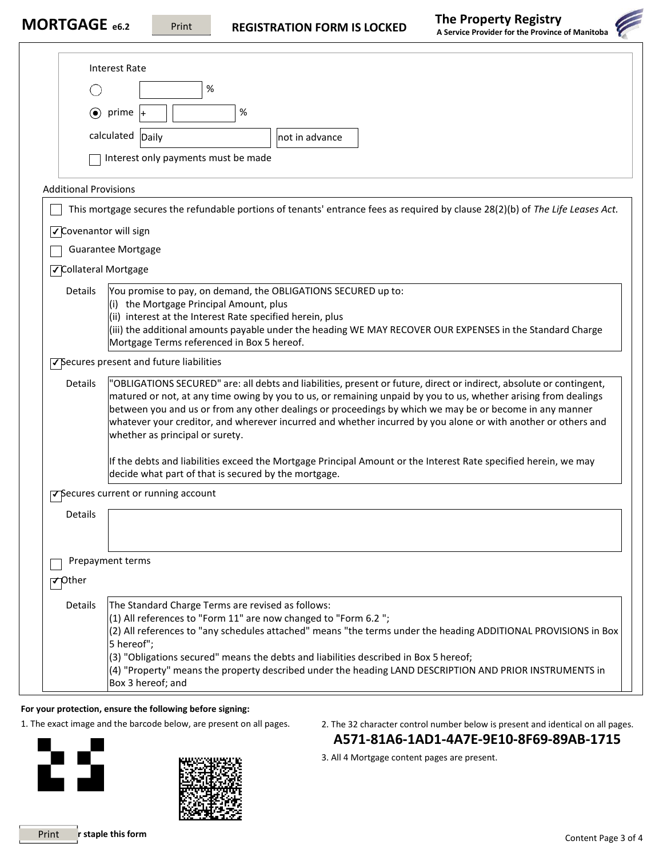

|                              | <b>Interest Rate</b>                                                                                                                                                                                                       |  |  |  |
|------------------------------|----------------------------------------------------------------------------------------------------------------------------------------------------------------------------------------------------------------------------|--|--|--|
|                              | %                                                                                                                                                                                                                          |  |  |  |
|                              | $\%$<br>$\odot$ prime                                                                                                                                                                                                      |  |  |  |
|                              | calculated Daily<br>not in advance                                                                                                                                                                                         |  |  |  |
|                              | Interest only payments must be made                                                                                                                                                                                        |  |  |  |
|                              |                                                                                                                                                                                                                            |  |  |  |
| <b>Additional Provisions</b> | This mortgage secures the refundable portions of tenants' entrance fees as required by clause 28(2)(b) of The Life Leases Act.                                                                                             |  |  |  |
|                              |                                                                                                                                                                                                                            |  |  |  |
| √Covenantor will sign        | <b>Guarantee Mortgage</b>                                                                                                                                                                                                  |  |  |  |
| <b>√Collateral Mortgage</b>  |                                                                                                                                                                                                                            |  |  |  |
| Details                      | You promise to pay, on demand, the OBLIGATIONS SECURED up to:                                                                                                                                                              |  |  |  |
|                              | $\vert$ (i) the Mortgage Principal Amount, plus                                                                                                                                                                            |  |  |  |
|                              | (ii) interest at the Interest Rate specified herein, plus<br>(iii) the additional amounts payable under the heading WE MAY RECOVER OUR EXPENSES in the Standard Charge                                                     |  |  |  |
|                              | Mortgage Terms referenced in Box 5 hereof.                                                                                                                                                                                 |  |  |  |
|                              | √Secures present and future liabilities                                                                                                                                                                                    |  |  |  |
| Details                      | "OBLIGATIONS SECURED" are: all debts and liabilities, present or future, direct or indirect, absolute or contingent,                                                                                                       |  |  |  |
|                              | matured or not, at any time owing by you to us, or remaining unpaid by you to us, whether arising from dealings<br>between you and us or from any other dealings or proceedings by which we may be or become in any manner |  |  |  |
|                              | whatever your creditor, and wherever incurred and whether incurred by you alone or with another or others and<br>whether as principal or surety.                                                                           |  |  |  |
|                              |                                                                                                                                                                                                                            |  |  |  |
|                              | If the debts and liabilities exceed the Mortgage Principal Amount or the Interest Rate specified herein, we may<br>decide what part of that is secured by the mortgage.                                                    |  |  |  |
|                              | √Secures current or running account                                                                                                                                                                                        |  |  |  |
| Details                      |                                                                                                                                                                                                                            |  |  |  |
|                              |                                                                                                                                                                                                                            |  |  |  |
|                              | Prepayment terms                                                                                                                                                                                                           |  |  |  |
| $\nabla$ Other               |                                                                                                                                                                                                                            |  |  |  |
| Details                      | The Standard Charge Terms are revised as follows:                                                                                                                                                                          |  |  |  |
|                              | (1) All references to "Form 11" are now changed to "Form 6.2";                                                                                                                                                             |  |  |  |
|                              | (2) All references to "any schedules attached" means "the terms under the heading ADDITIONAL PROVISIONS in Box<br>5 hereof";                                                                                               |  |  |  |
|                              | (3) "Obligations secured" means the debts and liabilities described in Box 5 hereof;                                                                                                                                       |  |  |  |
|                              | (4) "Property" means the property described under the heading LAND DESCRIPTION AND PRIOR INSTRUMENTS in<br>Box 3 hereof; and                                                                                               |  |  |  |

1. The exact image and the barcode below, are present on all pages. 2. The 32 character control number below is present and identical on all pages. **A571-81A6-1AD1-4A7E-9E10-8F69-89AB-1715**

3. All 4 Mortgage content pages are present.



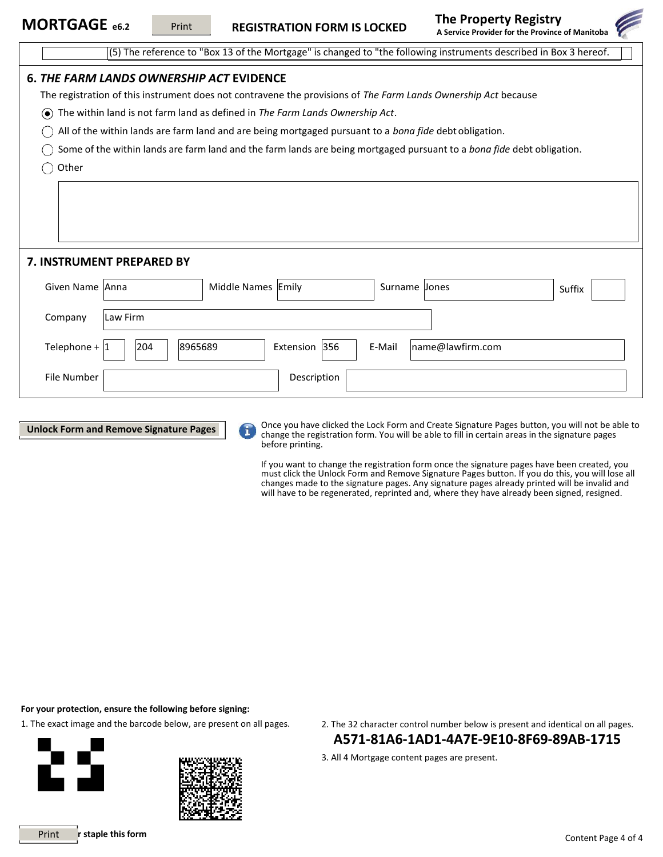

(5) The reference to "Box 13 of the Mortgage" is changed to "the following instruments described in Box 3 hereof.

# **6.** *THE FARM LANDS OWNERSHIP ACT* **EVIDENCE** The registration of this instrument does not contravene the provisions of *The Farm Lands Ownership Act* because The within land is not farm land as defined in *The Farm Lands Ownership Act*. All of the within lands are farm land and are being mortgaged pursuant to a *bona fide* debt obligation. Some of the within lands are farm land and the farm lands are being mortgaged pursuant to a *bona fide* debt obligation.  $\bigcap$  Other **7. INSTRUMENT PREPARED BY** Given Name Anna Middle Names Emily Surname Jones Suffix Company Law Firm Telephone +  $\vert$ 1  $\vert$  |  $\vert$ 204  $\vert$  | 8965689  $\vert$  Extension | 356  $\vert$  E-Mail  $\vert$  [name@lawfirm.com](mailto:name@lawfirm.com) File Number | No. 2006 | Description



Once you have clicked the Lock Form and Create Signature Pages button, you will not be able to change the registration form. You will be able to fill in certain areas in the signature pages before printing.

If you want to change the registration form once the signature pages have been created, you must click the Unlock Form and Remove Signature Pages button. If you do this, you will lose all changes made to the signature pages. Any signature pages already printed will be invalid and will have to be regenerated, reprinted and, where they have already been signed, resigned.

**For your protection, ensure the following before signing:**

1. The exact image and the barcode below, are present on all pages. 2. The 32 character control number below is present and identical on all pages.



- **A571-81A6-1AD1-4A7E-9E10-8F69-89AB-1715**
- 3. All 4 Mortgage content pages are present.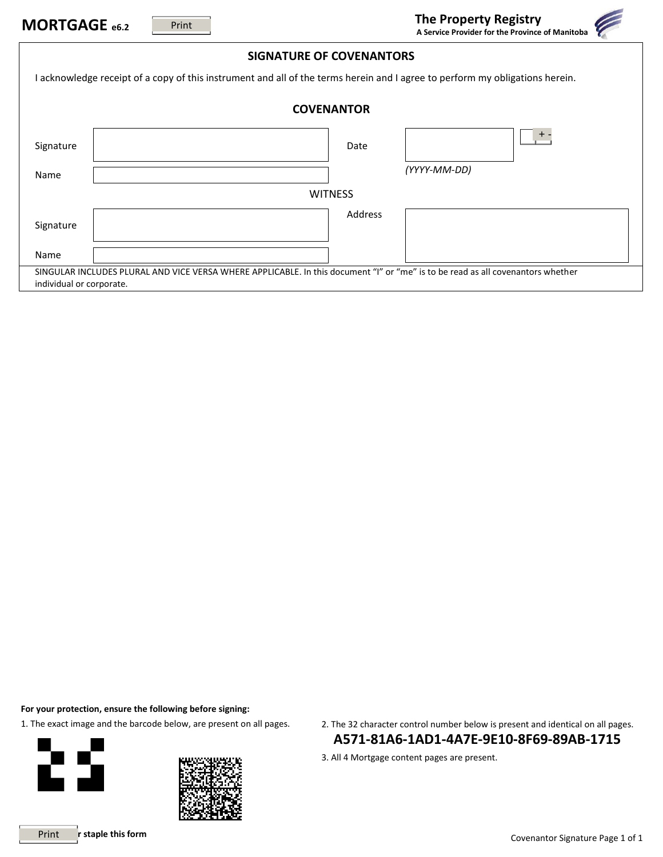| MORTGAGE e6.2                                                                                                                                               | Print                                                                                                                        |                                 | <b>The Property Registry</b><br>A Service Provider for the Province of Manitoba |  |  |  |
|-------------------------------------------------------------------------------------------------------------------------------------------------------------|------------------------------------------------------------------------------------------------------------------------------|---------------------------------|---------------------------------------------------------------------------------|--|--|--|
|                                                                                                                                                             |                                                                                                                              | <b>SIGNATURE OF COVENANTORS</b> |                                                                                 |  |  |  |
|                                                                                                                                                             | I acknowledge receipt of a copy of this instrument and all of the terms herein and I agree to perform my obligations herein. |                                 |                                                                                 |  |  |  |
| <b>COVENANTOR</b>                                                                                                                                           |                                                                                                                              |                                 |                                                                                 |  |  |  |
| Signature                                                                                                                                                   |                                                                                                                              | Date                            | $\pm$                                                                           |  |  |  |
| Name                                                                                                                                                        |                                                                                                                              |                                 | (YYYY-MM-DD)                                                                    |  |  |  |
| <b>WITNESS</b>                                                                                                                                              |                                                                                                                              |                                 |                                                                                 |  |  |  |
| Signature                                                                                                                                                   |                                                                                                                              | Address                         |                                                                                 |  |  |  |
| Name                                                                                                                                                        |                                                                                                                              |                                 |                                                                                 |  |  |  |
| SINGULAR INCLUDES PLURAL AND VICE VERSA WHERE APPLICABLE. In this document "I" or "me" is to be read as all covenantors whether<br>individual or corporate. |                                                                                                                              |                                 |                                                                                 |  |  |  |





1. The exact image and the barcode below, are present on all pages. 2. The 32 character control number below is present and identical on all pages. **A571-81A6-1AD1-4A7E-9E10-8F69-89AB-1715**

3. All 4 Mortgage content pages are present.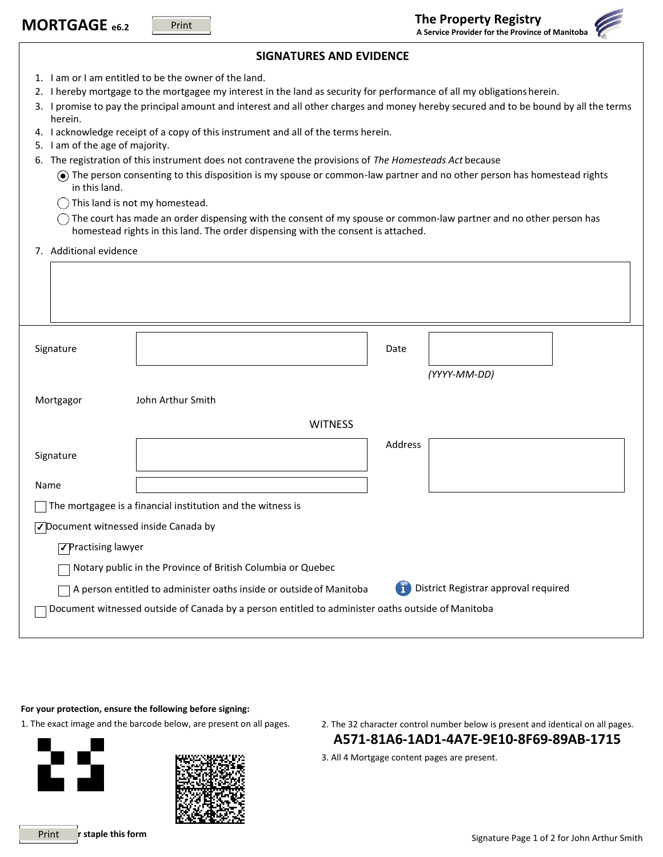|                                                                                                     | MORTGAGE e6.2                                                                                                                                                                                                                                                                                                                                                                                                                                                                                                                                                                                                                                                                                                                                                                                                                                                                                                                                                | Print             |                                                                     |         | <b>The Property Registry</b><br>A Service Provider for the Province of Manitoba |  |
|-----------------------------------------------------------------------------------------------------|--------------------------------------------------------------------------------------------------------------------------------------------------------------------------------------------------------------------------------------------------------------------------------------------------------------------------------------------------------------------------------------------------------------------------------------------------------------------------------------------------------------------------------------------------------------------------------------------------------------------------------------------------------------------------------------------------------------------------------------------------------------------------------------------------------------------------------------------------------------------------------------------------------------------------------------------------------------|-------------------|---------------------------------------------------------------------|---------|---------------------------------------------------------------------------------|--|
| <b>SIGNATURES AND EVIDENCE</b>                                                                      |                                                                                                                                                                                                                                                                                                                                                                                                                                                                                                                                                                                                                                                                                                                                                                                                                                                                                                                                                              |                   |                                                                     |         |                                                                                 |  |
| 6.                                                                                                  | 1. I am or I am entitled to be the owner of the land.<br>2. I hereby mortgage to the mortgagee my interest in the land as security for performance of all my obligations herein.<br>3. I promise to pay the principal amount and interest and all other charges and money hereby secured and to be bound by all the terms<br>herein.<br>4. I acknowledge receipt of a copy of this instrument and all of the terms herein.<br>5. I am of the age of majority.<br>The registration of this instrument does not contravene the provisions of The Homesteads Act because<br>The person consenting to this disposition is my spouse or common-law partner and no other person has homestead rights<br>in this land.<br>This land is not my homestead.<br>The court has made an order dispensing with the consent of my spouse or common-law partner and no other person has<br>homestead rights in this land. The order dispensing with the consent is attached. |                   |                                                                     |         |                                                                                 |  |
|                                                                                                     | 7. Additional evidence                                                                                                                                                                                                                                                                                                                                                                                                                                                                                                                                                                                                                                                                                                                                                                                                                                                                                                                                       |                   |                                                                     |         |                                                                                 |  |
|                                                                                                     | Signature                                                                                                                                                                                                                                                                                                                                                                                                                                                                                                                                                                                                                                                                                                                                                                                                                                                                                                                                                    |                   |                                                                     | Date    | (YYYY-MM-DD)                                                                    |  |
|                                                                                                     | Mortgagor                                                                                                                                                                                                                                                                                                                                                                                                                                                                                                                                                                                                                                                                                                                                                                                                                                                                                                                                                    | John Arthur Smith |                                                                     |         |                                                                                 |  |
|                                                                                                     |                                                                                                                                                                                                                                                                                                                                                                                                                                                                                                                                                                                                                                                                                                                                                                                                                                                                                                                                                              |                   | <b>WITNESS</b>                                                      |         |                                                                                 |  |
|                                                                                                     | Signature                                                                                                                                                                                                                                                                                                                                                                                                                                                                                                                                                                                                                                                                                                                                                                                                                                                                                                                                                    |                   |                                                                     | Address |                                                                                 |  |
|                                                                                                     | Name                                                                                                                                                                                                                                                                                                                                                                                                                                                                                                                                                                                                                                                                                                                                                                                                                                                                                                                                                         |                   |                                                                     |         |                                                                                 |  |
| The mortgagee is a financial institution and the witness is<br>√Document witnessed inside Canada by |                                                                                                                                                                                                                                                                                                                                                                                                                                                                                                                                                                                                                                                                                                                                                                                                                                                                                                                                                              |                   |                                                                     |         |                                                                                 |  |
| √Practising lawyer                                                                                  |                                                                                                                                                                                                                                                                                                                                                                                                                                                                                                                                                                                                                                                                                                                                                                                                                                                                                                                                                              |                   |                                                                     |         |                                                                                 |  |
|                                                                                                     |                                                                                                                                                                                                                                                                                                                                                                                                                                                                                                                                                                                                                                                                                                                                                                                                                                                                                                                                                              |                   | Notary public in the Province of British Columbia or Quebec         |         |                                                                                 |  |
|                                                                                                     |                                                                                                                                                                                                                                                                                                                                                                                                                                                                                                                                                                                                                                                                                                                                                                                                                                                                                                                                                              |                   | A person entitled to administer oaths inside or outside of Manitoba |         | District Registrar approval required                                            |  |
| Document witnessed outside of Canada by a person entitled to administer oaths outside of Manitoba   |                                                                                                                                                                                                                                                                                                                                                                                                                                                                                                                                                                                                                                                                                                                                                                                                                                                                                                                                                              |                   |                                                                     |         |                                                                                 |  |



- 1. The exact image and the barcode below, are present on all pages. 2. The 32 character control number below is present and identical on all pages. **A571-81A6-1AD1-4A7E-9E10-8F69-89AB-1715**
	- 3. All 4 Mortgage content pages are present.

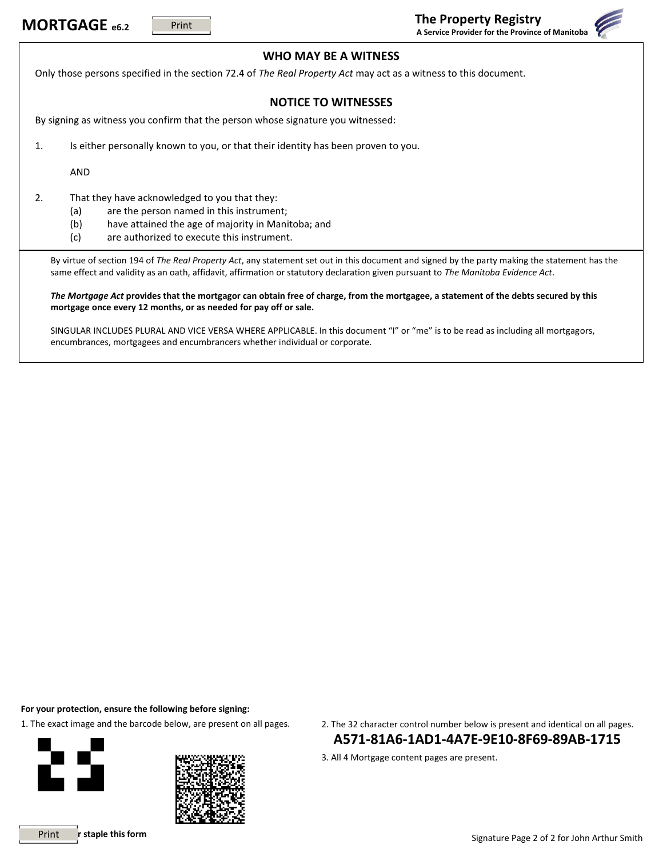

## **WHO MAY BE A WITNESS**

Only those persons specified in the section 72.4 of *The Real Property Act* may act as a witness to this document.

# **NOTICE TO WITNESSES**

By signing as witness you confirm that the person whose signature you witnessed:

1. Is either personally known to you, or that their identity has been proven to you.

AND

2. That they have acknowledged to you that they:

- (a) are the person named in this instrument;
- (b) have attained the age of majority in Manitoba; and
- (c) are authorized to execute this instrument.

By virtue of section 194 of *The Real Property Act*, any statement set out in this document and signed by the party making the statement has the same effect and validity as an oath, affidavit, affirmation or statutory declaration given pursuant to *The Manitoba Evidence Act*.

*The Mortgage Act* **provides that the mortgagor can obtain free of charge, from the mortgagee, a statement of the debts secured by this mortgage once every 12 months, or as needed for pay off or sale.**

SINGULAR INCLUDES PLURAL AND VICE VERSA WHERE APPLICABLE. In this document "I" or "me" is to be read as including all mortgagors, encumbrances, mortgagees and encumbrancers whether individual or corporate.

**For your protection, ensure the following before signing:**





1. The exact image and the barcode below, are present on all pages. 2. The 32 character control number below is present and identical on all pages. **A571-81A6-1AD1-4A7E-9E10-8F69-89AB-1715**

3. All 4 Mortgage content pages are present.